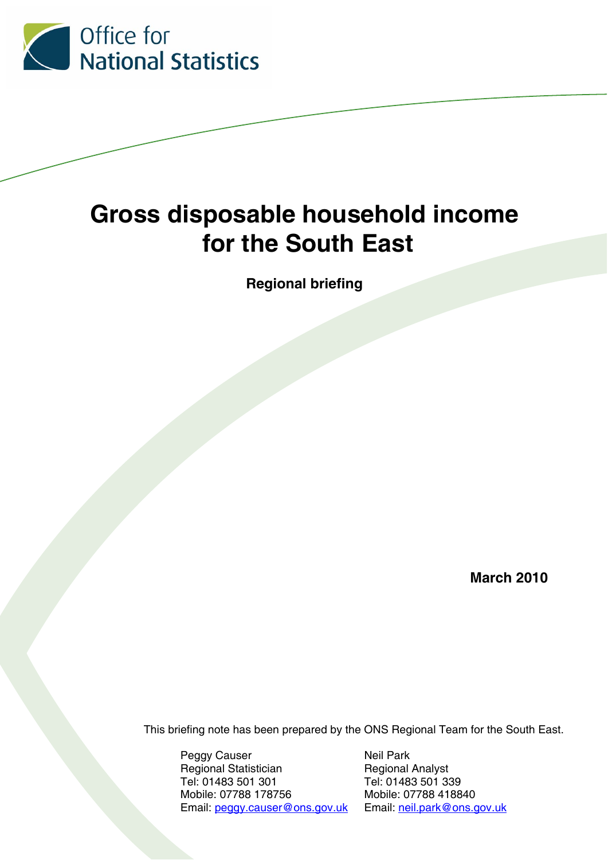

# **Gross disposable household income for the South East**

**Regional briefing** 

**March 2010** 

This briefing note has been prepared by the ONS Regional Team for the South East.

Peggy Causer Neil Park Regional Statistician Regional Analyst Tel: 01483 501 301 Tel: 01483 501 339 Mobile: 07788 178756 Mobile: 07788 418840 Email: peggy.causer@ons.gov.uk Email: neil.park@ons.gov.uk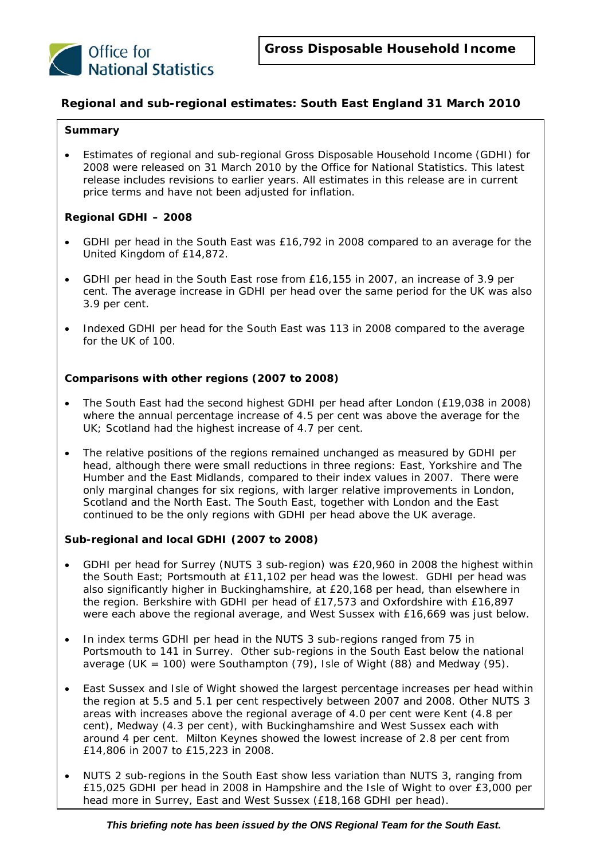

#### **Regional and sub-regional estimates: South East England 31 March 2010**

#### **Summary**

• Estimates of regional and sub-regional Gross Disposable Household Income (GDHI) for 2008 were released on 31 March 2010 by the Office for National Statistics. This latest release includes revisions to earlier years. All estimates in this release are in current price terms and have not been adjusted for inflation.

#### *Regional GDHI – 2008*

- GDHI per head in the South East was £16,792 in 2008 compared to an average for the United Kingdom of £14,872.
- GDHI per head in the South East rose from £16,155 in 2007, an increase of 3.9 per cent. The average increase in GDHI per head over the same period for the UK was also 3.9 per cent.
- Indexed GDHI per head for the South East was 113 in 2008 compared to the average for the UK of 100.

#### *Comparisons with other regions (2007 to 2008)*

- The South East had the second highest GDHI per head after London (£19,038 in 2008) where the annual percentage increase of 4.5 per cent was above the average for the UK; Scotland had the highest increase of 4.7 per cent.
- The relative positions of the regions remained unchanged as measured by GDHI per head, although there were small reductions in three regions: East, Yorkshire and The Humber and the East Midlands, compared to their index values in 2007. There were only marginal changes for six regions, with larger relative improvements in London, Scotland and the North East. The South East, together with London and the East continued to be the only regions with GDHI per head above the UK average.

#### *Sub-regional and local GDHI (2007 to 2008)*

- GDHI per head for Surrey (NUTS 3 sub-region) was £20,960 in 2008 the highest within the South East; Portsmouth at £11,102 per head was the lowest. GDHI per head was also significantly higher in Buckinghamshire, at £20,168 per head, than elsewhere in the region. Berkshire with GDHI per head of £17,573 and Oxfordshire with £16,897 were each above the regional average, and West Sussex with £16,669 was just below.
- In index terms GDHI per head in the NUTS 3 sub-regions ranged from 75 in Portsmouth to 141 in Surrey. Other sub-regions in the South East below the national average (UK = 100) were Southampton  $(79)$ , Isle of Wight  $(88)$  and Medway  $(95)$ .
- East Sussex and Isle of Wight showed the largest percentage increases per head within the region at 5.5 and 5.1 per cent respectively between 2007 and 2008. Other NUTS 3 areas with increases above the regional average of 4.0 per cent were Kent (4.8 per cent), Medway (4.3 per cent), with Buckinghamshire and West Sussex each with around 4 per cent. Milton Keynes showed the lowest increase of 2.8 per cent from £14,806 in 2007 to £15,223 in 2008.
- head more in Surrey, East and West Sussex (£18,168 GDHI per head). • NUTS 2 sub-regions in the South East show less variation than NUTS 3, ranging from £15,025 GDHI per head in 2008 in Hampshire and the Isle of Wight to over £3,000 per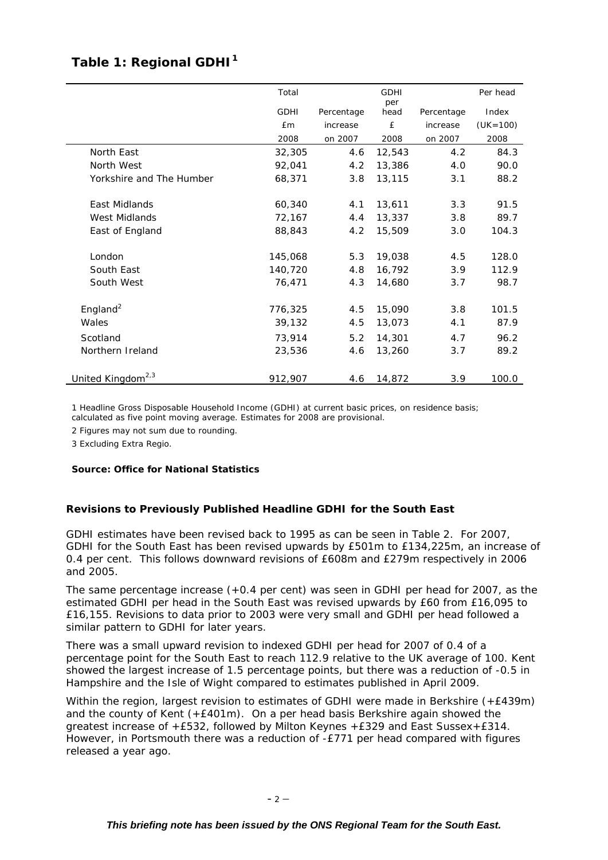## Table 1: Regional GDHI<sup>1</sup>

|                               | Total       |            | <b>GDHI</b> |            | Per head     |
|-------------------------------|-------------|------------|-------------|------------|--------------|
|                               | <b>GDHI</b> | Percentage | per<br>head | Percentage | Index        |
|                               | <b>£m</b>   | increase   | £           | increase   | $(UK = 100)$ |
|                               | 2008        | on 2007    | 2008        | on 2007    | 2008         |
| North East                    | 32,305      | 4.6        | 12,543      | 4.2        | 84.3         |
| North West                    | 92,041      | 4.2        | 13,386      | 4.0        | 90.0         |
| Yorkshire and The Humber      | 68,371      | 3.8        | 13,115      | 3.1        | 88.2         |
| East Midlands                 | 60,340      | 4.1        | 13,611      | 3.3        | 91.5         |
| West Midlands                 | 72,167      | 4.4        | 13,337      | 3.8        | 89.7         |
| East of England               | 88,843      | 4.2        | 15,509      | 3.0        | 104.3        |
| London                        | 145,068     | 5.3        | 19,038      | 4.5        | 128.0        |
| South East                    | 140,720     | 4.8        | 16,792      | 3.9        | 112.9        |
| South West                    | 76,471      | 4.3        | 14,680      | 3.7        | 98.7         |
| England <sup>2</sup>          | 776,325     | 4.5        | 15,090      | 3.8        | 101.5        |
| Wales                         | 39,132      | 4.5        | 13,073      | 4.1        | 87.9         |
| Scotland                      | 73,914      | 5.2        | 14,301      | 4.7        | 96.2         |
| Northern Ireland              | 23,536      | 4.6        | 13,260      | 3.7        | 89.2         |
| United Kingdom <sup>2,3</sup> | 912,907     | 4.6        | 14,872      | 3.9        | 100.0        |

1 Headline Gross Disposable Household Income (GDHI) at current basic prices, on residence basis; calculated as five point moving average. Estimates for 2008 are provisional.

2 Figures may not sum due to rounding.

3 Excluding Extra Regio.

#### *Source: Office for National Statistics*

#### **Revisions to Previously Published Headline GDHI for the South East**

GDHI estimates have been revised back to 1995 as can be seen in Table 2. For 2007, GDHI for the South East has been revised upwards by £501m to £134,225m, an increase of 0.4 per cent. This follows downward revisions of £608m and £279m respectively in 2006 and 2005.

The same percentage increase (+0.4 per cent) was seen in GDHI per head for 2007, as the estimated GDHI per head in the South East was revised upwards by £60 from £16,095 to £16,155. Revisions to data prior to 2003 were very small and GDHI per head followed a similar pattern to GDHI for later years.

There was a small upward revision to indexed GDHI per head for 2007 of 0.4 of a percentage point for the South East to reach 112.9 relative to the UK average of 100. Kent showed the largest increase of 1.5 percentage points, but there was a reduction of -0.5 in Hampshire and the Isle of Wight compared to estimates published in April 2009.

Within the region, largest revision to estimates of GDHI were made in Berkshire (+£439m) and the county of Kent  $(+E401m)$ . On a per head basis Berkshire again showed the greatest increase of +£532, followed by Milton Keynes +£329 and East Sussex+£314. However, in Portsmouth there was a reduction of -£771 per head compared with figures released a year ago.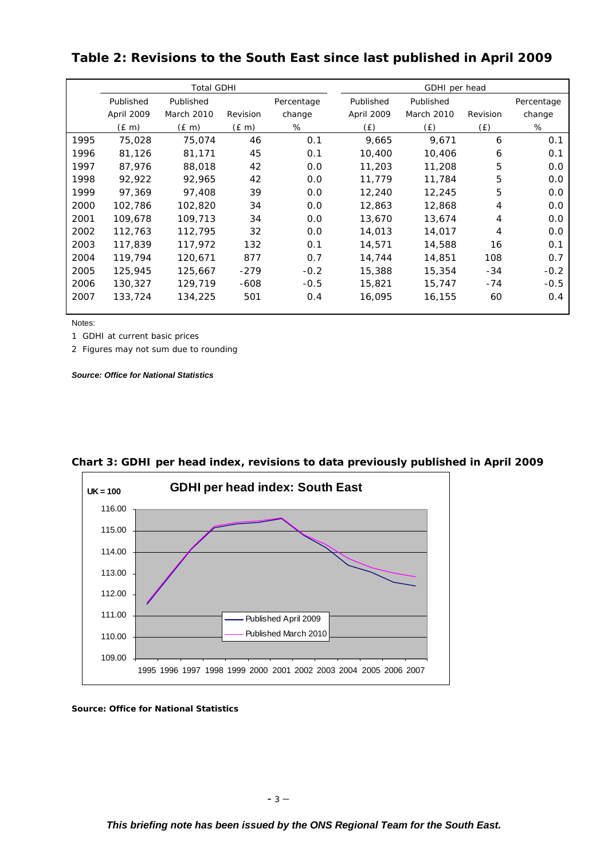|      | <b>Total GDHI</b> |            |            |            |            | GDHI per head |          |            |  |
|------|-------------------|------------|------------|------------|------------|---------------|----------|------------|--|
|      | Published         | Published  |            | Percentage | Published  | Published     |          | Percentage |  |
|      | April 2009        | March 2010 | Revision   | change     | April 2009 | March 2010    | Revision | change     |  |
|      | $(E \, m)$        | $(E \, m)$ | $(E \, m)$ | %          | (E)        | (E)           | (E)      | %          |  |
| 1995 | 75,028            | 75,074     | 46         | O.1        | 9,665      | 9.671         | 6        | 0.1        |  |
| 1996 | 81,126            | 81,171     | 45         | O.1        | 10,400     | 10,406        | 6        | 0.1        |  |
| 1997 | 87,976            | 88,018     | 42         | O.O        | 11,203     | 11,208        | 5        | 0.0        |  |
| 1998 | 92,922            | 92,965     | 42         | 0.0        | 11,779     | 11,784        | 5        | 0.0        |  |
| 1999 | 97,369            | 97,408     | 39         | O.O        | 12,240     | 12,245        | 5        | O.O        |  |
| 2000 | 102,786           | 102,820    | 34         | O.O        | 12,863     | 12,868        | 4        | O.O        |  |
| 2001 | 109,678           | 109,713    | 34         | O.O        | 13,670     | 13,674        | 4        | O.O        |  |
| 2002 | 112,763           | 112,795    | 32         | O.O        | 14,013     | 14,017        | 4        | 0.0        |  |
| 2003 | 117,839           | 117,972    | 132        | O.1        | 14,571     | 14,588        | 16       | 0.1        |  |
| 2004 | 119,794           | 120,671    | 877        | 0.7        | 14,744     | 14,851        | 108      | 0.7        |  |
| 2005 | 125,945           | 125,667    | $-279$     | $-0.2$     | 15,388     | 15,354        | $-34$    | $-0.2$     |  |
| 2006 | 130,327           | 129,719    | $-608$     | $-0.5$     | 15,821     | 15,747        | $-74$    | $-0.5$     |  |
| 2007 | 133,724           | 134,225    | 501        | O.4        | 16,095     | 16,155        | 60       | 0.4        |  |

**Table 2: Revisions to the South East since last published in April 2009** 

Notes:

1 GDHI at current basic prices

2 Figures may not sum due to rounding

*Source: Office for National Statistics* 



**Chart 3: GDHI per head index, revisions to data previously published in April 2009**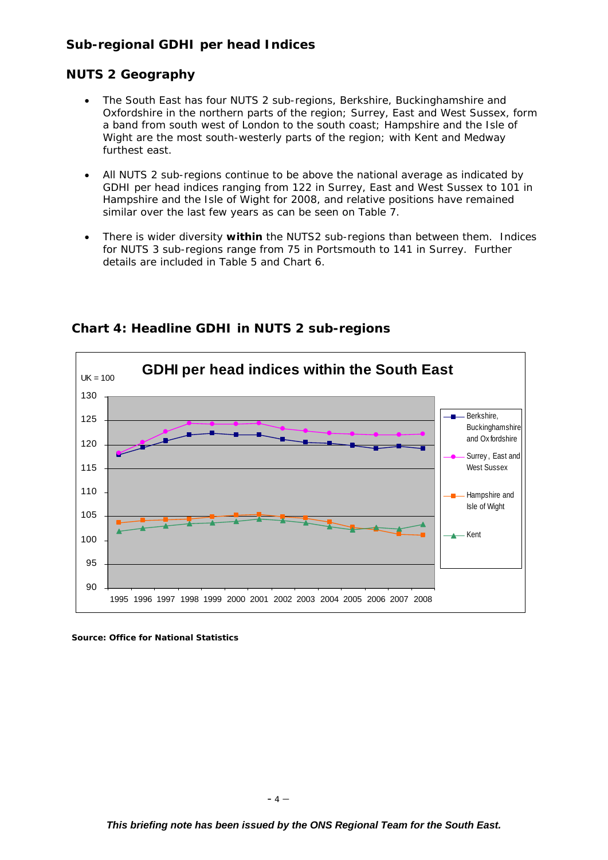## **Sub-regional GDHI per head Indices**

## **NUTS 2 Geography**

- The South East has four NUTS 2 sub-regions, Berkshire, Buckinghamshire and Oxfordshire in the northern parts of the region; Surrey, East and West Sussex, form a band from south west of London to the south coast; Hampshire and the Isle of Wight are the most south-westerly parts of the region; with Kent and Medway furthest east.
- All NUTS 2 sub-regions continue to be above the national average as indicated by GDHI per head indices ranging from 122 in Surrey, East and West Sussex to 101 in Hampshire and the Isle of Wight for 2008, and relative positions have remained similar over the last few years as can be seen on Table 7.
- There is wider diversity **within** the NUTS2 sub-regions than between them. Indices for NUTS 3 sub-regions range from 75 in Portsmouth to 141 in Surrey. Further details are included in Table 5 and Chart 6.



**Chart 4: Headline GDHI in NUTS 2 sub-regions**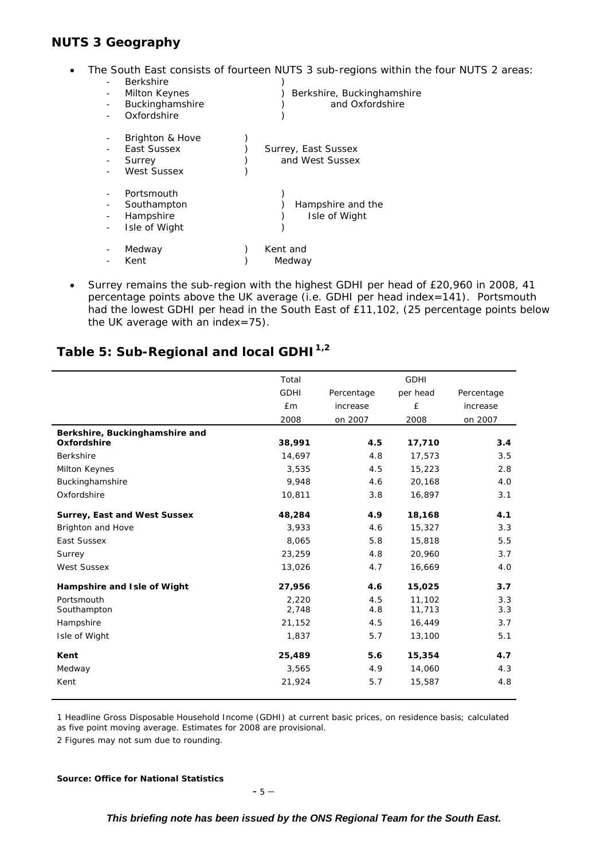## **NUTS 3 Geography**

• The South East consists of fourteen NUTS 3 sub-regions within the four NUTS 2 areas:

| <b>Berkshire</b><br>Milton Keynes<br>Buckinghamshire | $\frac{1}{2}$<br>Berkshire, Buckinghamshire<br>and Oxfordshire |
|------------------------------------------------------|----------------------------------------------------------------|
| Oxfordshire                                          |                                                                |
| Brighton & Hove                                      |                                                                |
| East Sussex                                          | Surrey, East Sussex                                            |
| Surrey                                               | and West Sussex                                                |
| West Sussex                                          |                                                                |
| Portsmouth                                           |                                                                |
| Southampton                                          | Hampshire and the                                              |
| Hampshire                                            | Isle of Wight                                                  |
| Isle of Wight                                        |                                                                |
| Medway                                               | Kent and                                                       |
| Kent                                                 | Medway                                                         |

• Surrey remains the sub-region with the highest GDHI per head of £20,960 in 2008, 41 percentage points above the UK average (i.e. GDHI per head index=141). Portsmouth had the lowest GDHI per head in the South East of £11,102, (25 percentage points below the UK average with an index=75).

## Table 5: Sub-Regional and local GDHI<sup>1,2</sup>

|                                     | Total       |            | <b>GDHI</b> |            |
|-------------------------------------|-------------|------------|-------------|------------|
|                                     | <b>GDHI</b> | Percentage | per head    | Percentage |
|                                     | <b>£m</b>   | increase   | £           | increase   |
|                                     | 2008        | on 2007    | 2008        | on 2007    |
| Berkshire, Buckinghamshire and      |             |            |             |            |
| Oxfordshire                         | 38,991      | 4.5        | 17,710      | 3.4        |
| <b>Berkshire</b>                    | 14,697      | 4.8        | 17,573      | 3.5        |
| Milton Keynes                       | 3,535       | 4.5        | 15,223      | 2.8        |
| Buckinghamshire                     | 9,948       | 4.6        | 20,168      | 4.0        |
| Oxfordshire                         | 10,811      | 3.8        | 16,897      | 3.1        |
| <b>Surrey, East and West Sussex</b> | 48,284      | 4.9        | 18,168      | 4.1        |
| Brighton and Hove                   | 3,933       | 4.6        | 15,327      | 3.3        |
| East Sussex                         | 8,065       | 5.8        | 15,818      | 5.5        |
| Surrey                              | 23,259      | 4.8        | 20,960      | 3.7        |
| <b>West Sussex</b>                  | 13,026      | 4.7        | 16,669      | 4.0        |
| Hampshire and Isle of Wight         | 27,956      | 4.6        | 15,025      | 3.7        |
| Portsmouth                          | 2,220       | 4.5        | 11,102      | 3.3        |
| Southampton                         | 2,748       | 4.8        | 11,713      | 3.3        |
| Hampshire                           | 21,152      | 4.5        | 16,449      | 3.7        |
| Isle of Wight                       | 1,837       | 5.7        | 13,100      | 5.1        |
| Kent                                | 25,489      | 5.6        | 15,354      | 4.7        |
| Medway                              | 3,565       | 4.9        | 14,060      | 4.3        |
| Kent                                | 21,924      | 5.7        | 15,587      | 4.8        |

1 Headline Gross Disposable Household Income (GDHI) at current basic prices, on residence basis; calculated as five point moving average. Estimates for 2008 are provisional.

2 Figures may not sum due to rounding.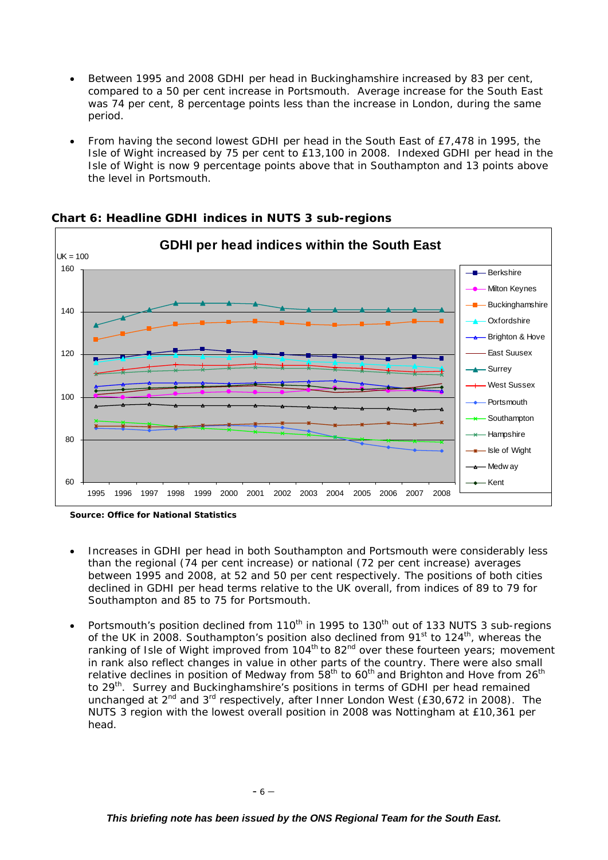- Between 1995 and 2008 GDHI per head in Buckinghamshire increased by 83 per cent, compared to a 50 per cent increase in Portsmouth. Average increase for the South East was 74 per cent, 8 percentage points less than the increase in London, during the same period.
- From having the second lowest GDHI per head in the South East of £7,478 in 1995, the Isle of Wight increased by 75 per cent to £13,100 in 2008. Indexed GDHI per head in the Isle of Wight is now 9 percentage points above that in Southampton and 13 points above the level in Portsmouth.



## **Chart 6: Headline GDHI indices in NUTS 3 sub-regions**

*Source: Office for National Statistics* 

- Increases in GDHI per head in both Southampton and Portsmouth were considerably less than the regional (74 per cent increase) or national (72 per cent increase) averages between 1995 and 2008, at 52 and 50 per cent respectively. The positions of both cities declined in GDHI per head terms relative to the UK overall, from indices of 89 to 79 for Southampton and 85 to 75 for Portsmouth.
- Portsmouth's position declined from 110<sup>th</sup> in 1995 to 130<sup>th</sup> out of 133 NUTS 3 sub-regions of the UK in 2008. Southampton's position also declined from 91<sup>st</sup> to 124<sup>th</sup>, whereas the ranking of Isle of Wight improved from 104<sup>th</sup> to 82<sup>nd</sup> over these fourteen years; movement in rank also reflect changes in value in other parts of the country. There were also small relative declines in position of Medway from  $58<sup>th</sup>$  to  $60<sup>th</sup>$  and Brighton and Hove from  $26<sup>th</sup>$ to 29<sup>th</sup>. Surrey and Buckinghamshire's positions in terms of GDHI per head remained unchanged at  $2^{nd}$  and  $3^{rd}$  respectively, after Inner London West (£30,672 in 2008). The NUTS 3 region with the lowest overall position in 2008 was Nottingham at £10,361 per head.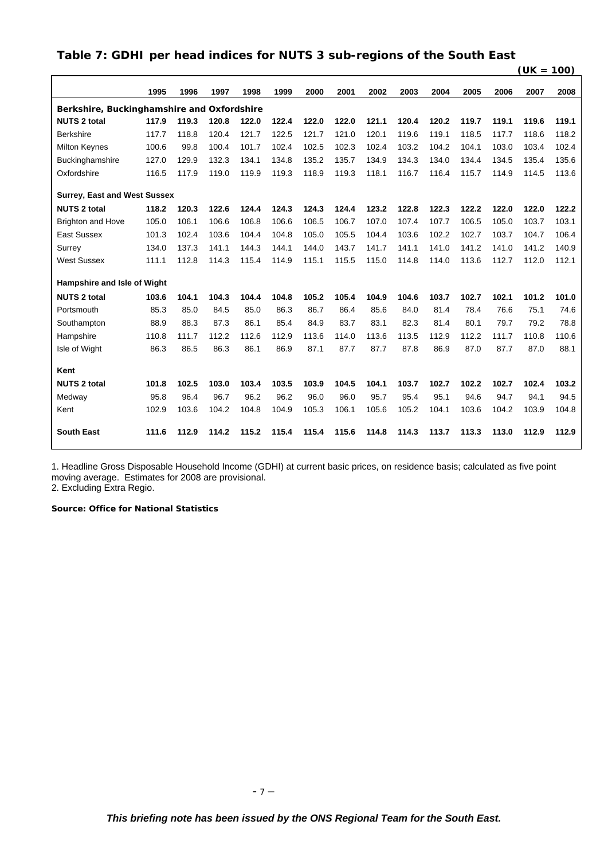## **Table 7: GDHI per head indices for NUTS 3 sub-regions of the South East**

|                                            |       |       |       |       |       |       |       |       |       |       |       |       | $(UK = 100)$ |       |
|--------------------------------------------|-------|-------|-------|-------|-------|-------|-------|-------|-------|-------|-------|-------|--------------|-------|
|                                            | 1995  | 1996  | 1997  | 1998  | 1999  | 2000  | 2001  | 2002  | 2003  | 2004  | 2005  | 2006  | 2007         | 2008  |
| Berkshire, Buckinghamshire and Oxfordshire |       |       |       |       |       |       |       |       |       |       |       |       |              |       |
| <b>NUTS 2 total</b>                        | 117.9 | 119.3 | 120.8 | 122.0 | 122.4 | 122.0 | 122.0 | 121.1 | 120.4 | 120.2 | 119.7 | 119.1 | 119.6        | 119.1 |
| <b>Berkshire</b>                           | 117.7 | 118.8 | 120.4 | 121.7 | 122.5 | 121.7 | 121.0 | 120.1 | 119.6 | 119.1 | 118.5 | 117.7 | 118.6        | 118.2 |
| <b>Milton Keynes</b>                       | 100.6 | 99.8  | 100.4 | 101.7 | 102.4 | 102.5 | 102.3 | 102.4 | 103.2 | 104.2 | 104.1 | 103.0 | 103.4        | 102.4 |
| Buckinghamshire                            | 127.0 | 129.9 | 132.3 | 134.1 | 134.8 | 135.2 | 135.7 | 134.9 | 134.3 | 134.0 | 134.4 | 134.5 | 135.4        | 135.6 |
| Oxfordshire                                | 116.5 | 117.9 | 119.0 | 119.9 | 119.3 | 118.9 | 119.3 | 118.1 | 116.7 | 116.4 | 115.7 | 114.9 | 114.5        | 113.6 |
| <b>Surrey, East and West Sussex</b>        |       |       |       |       |       |       |       |       |       |       |       |       |              |       |
| <b>NUTS 2 total</b>                        | 118.2 | 120.3 | 122.6 | 124.4 | 124.3 | 124.3 | 124.4 | 123.2 | 122.8 | 122.3 | 122.2 | 122.0 | 122.0        | 122.2 |
| <b>Brighton and Hove</b>                   | 105.0 | 106.1 | 106.6 | 106.8 | 106.6 | 106.5 | 106.7 | 107.0 | 107.4 | 107.7 | 106.5 | 105.0 | 103.7        | 103.1 |
| <b>East Sussex</b>                         | 101.3 | 102.4 | 103.6 | 104.4 | 104.8 | 105.0 | 105.5 | 104.4 | 103.6 | 102.2 | 102.7 | 103.7 | 104.7        | 106.4 |
| Surrey                                     | 134.0 | 137.3 | 141.1 | 144.3 | 144.1 | 144.0 | 143.7 | 141.7 | 141.1 | 141.0 | 141.2 | 141.0 | 141.2        | 140.9 |
| <b>West Sussex</b>                         | 111.1 | 112.8 | 114.3 | 115.4 | 114.9 | 115.1 | 115.5 | 115.0 | 114.8 | 114.0 | 113.6 | 112.7 | 112.0        | 112.1 |
| Hampshire and Isle of Wight                |       |       |       |       |       |       |       |       |       |       |       |       |              |       |
| <b>NUTS 2 total</b>                        | 103.6 | 104.1 | 104.3 | 104.4 | 104.8 | 105.2 | 105.4 | 104.9 | 104.6 | 103.7 | 102.7 | 102.1 | 101.2        | 101.0 |
| Portsmouth                                 | 85.3  | 85.0  | 84.5  | 85.0  | 86.3  | 86.7  | 86.4  | 85.6  | 84.0  | 81.4  | 78.4  | 76.6  | 75.1         | 74.6  |
| Southampton                                | 88.9  | 88.3  | 87.3  | 86.1  | 85.4  | 84.9  | 83.7  | 83.1  | 82.3  | 81.4  | 80.1  | 79.7  | 79.2         | 78.8  |
| Hampshire                                  | 110.8 | 111.7 | 112.2 | 112.6 | 112.9 | 113.6 | 114.0 | 113.6 | 113.5 | 112.9 | 112.2 | 111.7 | 110.8        | 110.6 |
| Isle of Wight                              | 86.3  | 86.5  | 86.3  | 86.1  | 86.9  | 87.1  | 87.7  | 87.7  | 87.8  | 86.9  | 87.0  | 87.7  | 87.0         | 88.1  |
| Kent                                       |       |       |       |       |       |       |       |       |       |       |       |       |              |       |
| <b>NUTS 2 total</b>                        | 101.8 | 102.5 | 103.0 | 103.4 | 103.5 | 103.9 | 104.5 | 104.1 | 103.7 | 102.7 | 102.2 | 102.7 | 102.4        | 103.2 |
| Medway                                     | 95.8  | 96.4  | 96.7  | 96.2  | 96.2  | 96.0  | 96.0  | 95.7  | 95.4  | 95.1  | 94.6  | 94.7  | 94.1         | 94.5  |
| Kent                                       | 102.9 | 103.6 | 104.2 | 104.8 | 104.9 | 105.3 | 106.1 | 105.6 | 105.2 | 104.1 | 103.6 | 104.2 | 103.9        | 104.8 |
|                                            |       |       |       |       |       |       |       |       |       |       |       |       |              |       |
| <b>South East</b>                          | 111.6 | 112.9 | 114.2 | 115.2 | 115.4 | 115.4 | 115.6 | 114.8 | 114.3 | 113.7 | 113.3 | 113.0 | 112.9        | 112.9 |

1. Headline Gross Disposable Household Income (GDHI) at current basic prices, on residence basis; calculated as five point moving average. Estimates for 2008 are provisional.

2. Excluding Extra Regio.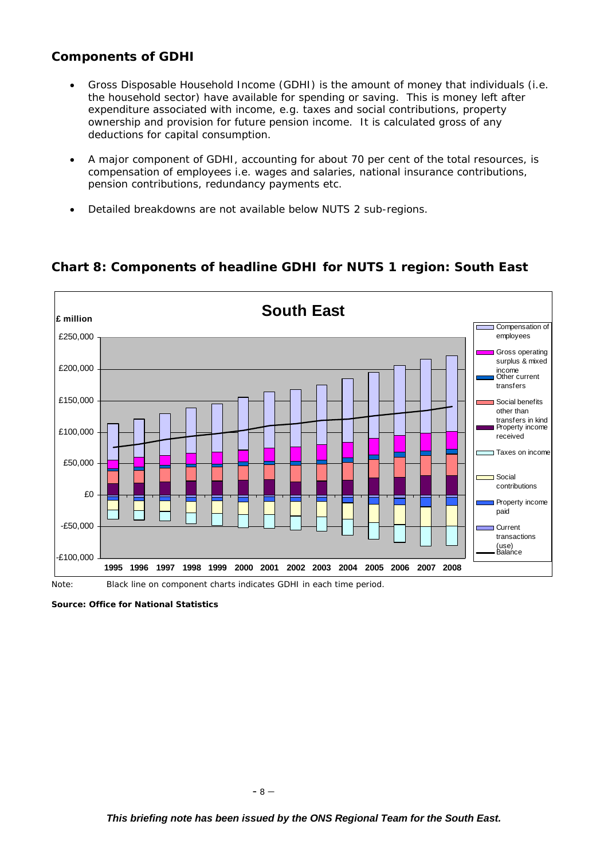## **Components of GDHI**

- Gross Disposable Household Income (GDHI) is the amount of money that individuals (i.e. the household sector) have available for spending or saving. This is money left after expenditure associated with income, e.g. taxes and social contributions, property ownership and provision for future pension income. It is calculated gross of any deductions for capital consumption.
- A major component of GDHI, accounting for about 70 per cent of the total resources, is compensation of employees i.e. wages and salaries, national insurance contributions, pension contributions, redundancy payments etc.
- Detailed breakdowns are not available below NUTS 2 sub-regions.

## **Chart 8: Components of headline GDHI for NUTS 1 region: South East**



Note: Black line on component charts indicates GDHI in each time period.

*Source: Office for National Statistics*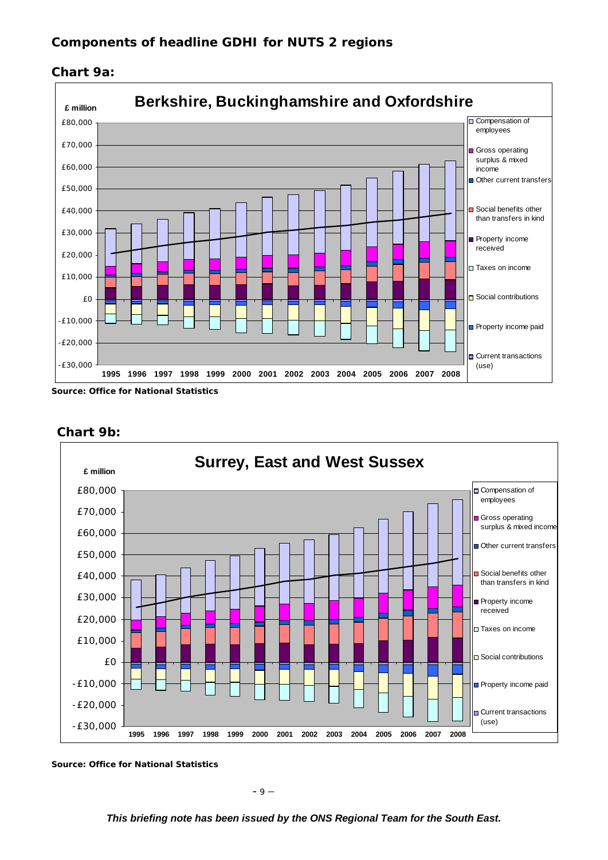



*Source: Office for National Statistics* 



#### **Chart 9b:**

*This briefing note has been issued by the ONS Regional Team for the South East.*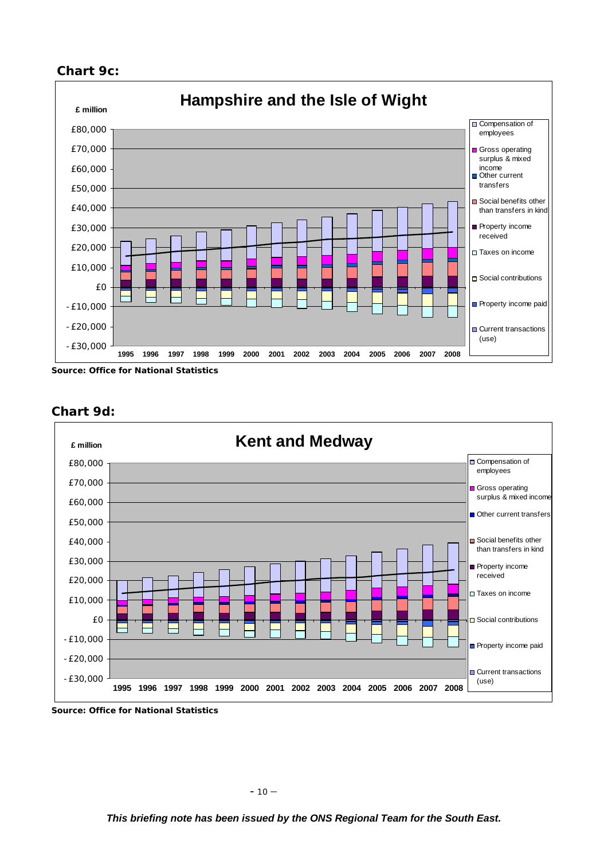## **Chart 9c:**



*Source: Office for National Statistics* 



## **Chart 9d:**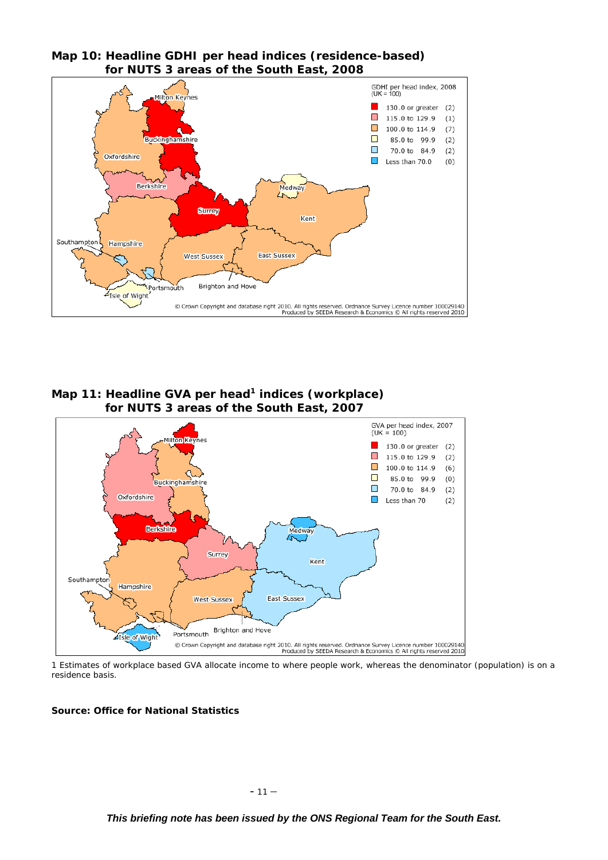



#### **Map 11: Headline GVA per head1 indices (workplace) for NUTS 3 areas of the South East, 2007**



1 Estimates of workplace based GVA allocate income to where people work, whereas the denominator (population) is on a residence basis.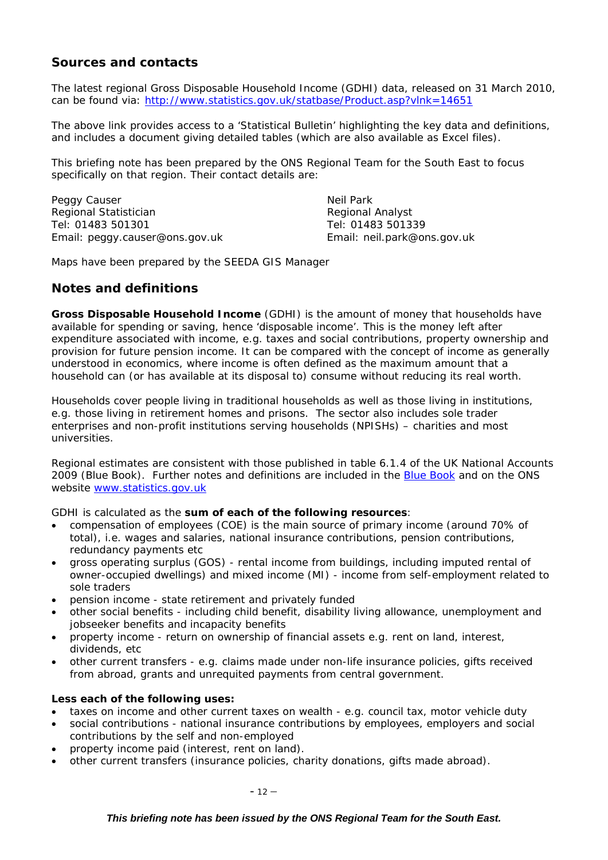## **Sources and contacts**

The latest regional Gross Disposable Household Income (GDHI) data, released on 31 March 2010, can be found via: http://www.statistics.gov.uk/statbase/Product.asp?vlnk=14651

The above link provides access to a 'Statistical Bulletin' highlighting the key data and definitions, and includes a document giving detailed tables (which are also available as Excel files).

This briefing note has been prepared by the ONS Regional Team for the South East to focus specifically on that region. Their contact details are:

Peggy Causer Neil Park Regional Statistician Regional Analyst Tel: 01483 501301 Tel: 01483 501339 Email: peggy.causer@ons.gov.uk Email: neil.park@ons.gov.uk

Maps have been prepared by the SEEDA GIS Manager

## **Notes and definitions**

**Gross Disposable Household Income** (GDHI) is the amount of money that households have available for spending or saving, hence 'disposable income'. This is the money left after expenditure associated with income, e.g. taxes and social contributions, property ownership and provision for future pension income. It can be compared with the concept of income as generally understood in economics, where income is often defined as the maximum amount that a household can (or has available at its disposal to) consume without reducing its real worth.

Households cover people living in traditional households as well as those living in institutions, e.g. those living in retirement homes and prisons. The sector also includes sole trader enterprises and non-profit institutions serving households (NPISHs) – charities and most universities.

Regional estimates are consistent with those published in table 6.1.4 of the UK National Accounts 2009 (Blue Book). Further notes and definitions are included in the Blue Book and on the ONS website www.statistics.gov.uk

GDHI is calculated as the *sum of each of the following resources*:

- compensation of employees (COE) is the main source of primary income (around 70% of total), i.e. wages and salaries, national insurance contributions, pension contributions, redundancy payments etc
- gross operating surplus (GOS) rental income from buildings, including imputed rental of owner-occupied dwellings) and mixed income (MI) - income from self-employment related to sole traders
- pension income state retirement and privately funded
- other social benefits including child benefit, disability living allowance, unemployment and jobseeker benefits and incapacity benefits
- property income return on ownership of financial assets e.g. rent on land, interest, dividends, etc
- other current transfers e.g. claims made under non-life insurance policies, gifts received from abroad, grants and unrequited payments from central government.

#### *Less each of the following uses:*

- taxes on income and other current taxes on wealth e.g. council tax, motor vehicle duty
- social contributions national insurance contributions by employees, employers and social contributions by the self and non-employed
- property income paid (interest, rent on land).
- other current transfers (insurance policies, charity donations, gifts made abroad).

 $- 12 -$ 

#### *This briefing note has been issued by the ONS Regional Team for the South East.*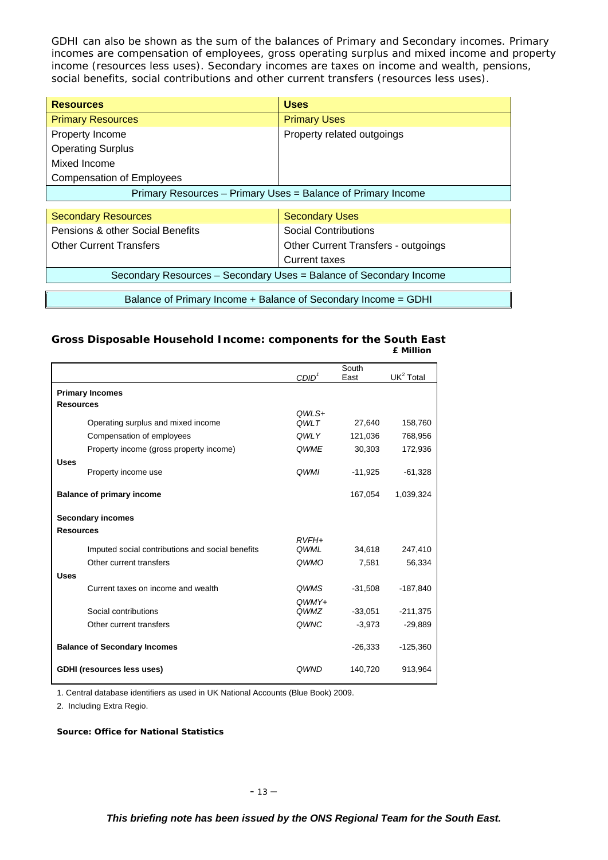GDHI can also be shown as the sum of the balances of Primary and Secondary incomes. Primary incomes are compensation of employees, gross operating surplus and mixed income and property income (resources less uses). Secondary incomes are taxes on income and wealth, pensions, social benefits, social contributions and other current transfers (resources less uses).

| <b>Resources</b>                                             | <b>Uses</b>                |  |  |  |  |  |
|--------------------------------------------------------------|----------------------------|--|--|--|--|--|
| <b>Primary Resources</b>                                     | <b>Primary Uses</b>        |  |  |  |  |  |
| Property Income                                              | Property related outgoings |  |  |  |  |  |
| <b>Operating Surplus</b>                                     |                            |  |  |  |  |  |
| Mixed Income                                                 |                            |  |  |  |  |  |
| <b>Compensation of Employees</b>                             |                            |  |  |  |  |  |
| Primary Resources - Primary Uses = Balance of Primary Income |                            |  |  |  |  |  |
|                                                              |                            |  |  |  |  |  |

| <b>Secondary Resources</b>                                         | <b>Secondary Uses</b>               |  |  |  |  |  |
|--------------------------------------------------------------------|-------------------------------------|--|--|--|--|--|
| Pensions & other Social Benefits                                   | <b>Social Contributions</b>         |  |  |  |  |  |
| <b>Other Current Transfers</b>                                     | Other Current Transfers - outgoings |  |  |  |  |  |
|                                                                    | Current taxes                       |  |  |  |  |  |
| Secondary Resources - Secondary Uses = Balance of Secondary Income |                                     |  |  |  |  |  |
|                                                                    |                                     |  |  |  |  |  |
| Balance of Primary Income + Balance of Secondary Income = GDHI     |                                     |  |  |  |  |  |

#### **Gross Disposable Household Income: components for the South East £ Million**

|                                     |                                                  | CDID <sup>1</sup>      | South<br>East | UK <sup>2</sup> Total |
|-------------------------------------|--------------------------------------------------|------------------------|---------------|-----------------------|
|                                     |                                                  |                        |               |                       |
| <b>Primary Incomes</b>              |                                                  |                        |               |                       |
| <b>Resources</b>                    |                                                  | OWLS+                  |               |                       |
|                                     | Operating surplus and mixed income               | OWLT                   | 27,640        | 158,760               |
|                                     | Compensation of employees                        | QWLY                   | 121,036       | 768,956               |
|                                     | Property income (gross property income)          | QWME                   | 30,303        | 172,936               |
| <b>Uses</b>                         |                                                  |                        |               |                       |
|                                     | Property income use                              | <b>OWMI</b>            | $-11,925$     | $-61,328$             |
|                                     | <b>Balance of primary income</b>                 |                        | 167,054       | 1,039,324             |
|                                     | <b>Secondary incomes</b>                         |                        |               |                       |
| <b>Resources</b>                    |                                                  |                        |               |                       |
|                                     |                                                  | $RVFH+$<br><b>OWML</b> | 34.618        |                       |
|                                     | Imputed social contributions and social benefits |                        |               | 247,410               |
|                                     | Other current transfers                          | QWMO                   | 7,581         | 56,334                |
| <b>Uses</b>                         |                                                  |                        |               |                       |
|                                     | Current taxes on income and wealth               | <b>OWMS</b>            | $-31.508$     | $-187,840$            |
|                                     | Social contributions                             | $OWMY+$<br>QWMZ        | $-33,051$     | $-211,375$            |
|                                     | Other current transfers                          | QWNC                   | $-3,973$      | $-29,889$             |
|                                     |                                                  |                        |               |                       |
| <b>Balance of Secondary Incomes</b> |                                                  |                        | $-26,333$     | $-125,360$            |
|                                     | <b>GDHI</b> (resources less uses)                | <b>OWND</b>            | 140,720       | 913,964               |

1. Central database identifiers as used in UK National Accounts (Blue Book) 2009.

2. Including Extra Regio.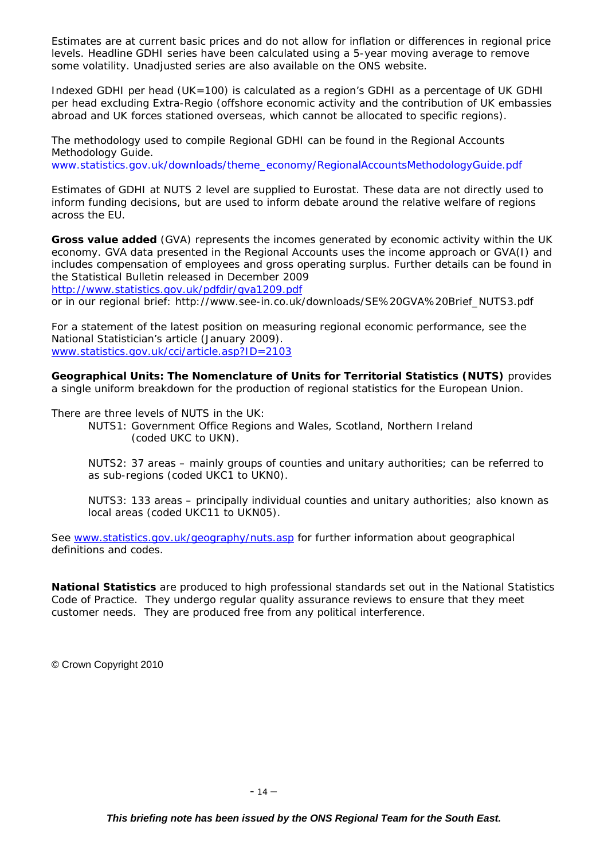Estimates are at current basic prices and do not allow for inflation or differences in regional price levels. Headline GDHI series have been calculated using a 5-year moving average to remove some volatility. Unadjusted series are also available on the ONS website.

Indexed GDHI per head (UK=100) is calculated as a region's GDHI as a percentage of UK GDHI per head excluding Extra-Regio (offshore economic activity and the contribution of UK embassies abroad and UK forces stationed overseas, which cannot be allocated to specific regions).

The methodology used to compile Regional GDHI can be found in the Regional Accounts Methodology Guide. www.statistics.gov.uk/downloads/theme\_economy/RegionalAccountsMethodologyGuide.pdf

Estimates of GDHI at NUTS 2 level are supplied to Eurostat. These data are not directly used to inform funding decisions, but are used to inform debate around the relative welfare of regions across the EU.

**Gross value added** (GVA) represents the incomes generated by economic activity within the UK economy. GVA data presented in the Regional Accounts uses the income approach or GVA(I) and includes compensation of employees and gross operating surplus. Further details can be found in the Statistical Bulletin released in December 2009

http://www.statistics.gov.uk/pdfdir/gva1209.pdf

or in our regional brief: http://www.see-in.co.uk/downloads/SE%20GVA%20Brief\_NUTS3.pdf

For a statement of the latest position on measuring regional economic performance, see the National Statistician's article (January 2009). www.statistics.gov.uk/cci/article.asp?ID=2103

**Geographical Units: The Nomenclature of Units for Territorial Statistics (NUTS)** provides a single uniform breakdown for the production of regional statistics for the European Union.

There are three levels of NUTS in the UK:

NUTS1: Government Office Regions and Wales, Scotland, Northern Ireland (coded UKC to UKN).

NUTS2: 37 areas – mainly groups of counties and unitary authorities; can be referred to as sub-regions (coded UKC1 to UKN0).

NUTS3: 133 areas – principally individual counties and unitary authorities; also known as local areas (coded UKC11 to UKN05).

See www.statistics.gov.uk/geography/nuts.asp for further information about geographical definitions and codes.

**National Statistics** are produced to high professional standards set out in the National Statistics Code of Practice. They undergo regular quality assurance reviews to ensure that they meet customer needs. They are produced free from any political interference.

© Crown Copyright 2010